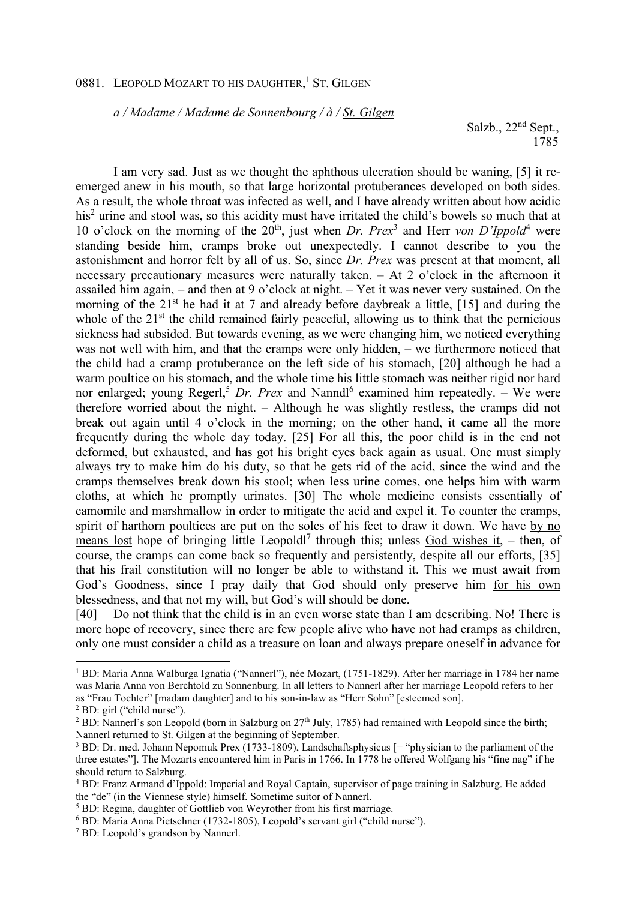## 0881. LEOPOLD MOZART TO HIS DAUGHTER,<sup>1</sup> ST. GILGEN

*a / Madame / Madame de Sonnenbourg / à / St. Gilgen*

Salzb., 22<sup>nd</sup> Sept., 1785

I am very sad. Just as we thought the aphthous ulceration should be waning, [5] it reemerged anew in his mouth, so that large horizontal protuberances developed on both sides. As a result, the whole throat was infected as well, and I have already written about how acidic his<sup>2</sup> urine and stool was, so this acidity must have irritated the child's bowels so much that at 10 o'clock on the morning of the 20<sup>th</sup>, just when *Dr. Prex*<sup>3</sup> and Herr *von D'Ippold*<sup>4</sup> were standing beside him, cramps broke out unexpectedly. I cannot describe to you the astonishment and horror felt by all of us. So, since *Dr. Prex* was present at that moment, all necessary precautionary measures were naturally taken. – At 2 o'clock in the afternoon it assailed him again, – and then at 9 o'clock at night. – Yet it was never very sustained. On the morning of the  $21<sup>st</sup>$  he had it at 7 and already before daybreak a little, [15] and during the whole of the  $21<sup>st</sup>$  the child remained fairly peaceful, allowing us to think that the pernicious sickness had subsided. But towards evening, as we were changing him, we noticed everything was not well with him, and that the cramps were only hidden, – we furthermore noticed that the child had a cramp protuberance on the left side of his stomach, [20] although he had a warm poultice on his stomach, and the whole time his little stomach was neither rigid nor hard nor enlarged; young Regerl,<sup>5</sup> Dr. Prex and Nanndl<sup>6</sup> examined him repeatedly. - We were therefore worried about the night. – Although he was slightly restless, the cramps did not break out again until 4 o'clock in the morning; on the other hand, it came all the more frequently during the whole day today. [25] For all this, the poor child is in the end not deformed, but exhausted, and has got his bright eyes back again as usual. One must simply always try to make him do his duty, so that he gets rid of the acid, since the wind and the cramps themselves break down his stool; when less urine comes, one helps him with warm cloths, at which he promptly urinates. [30] The whole medicine consists essentially of camomile and marshmallow in order to mitigate the acid and expel it. To counter the cramps, spirit of harthorn poultices are put on the soles of his feet to draw it down. We have by no means lost hope of bringing little Leopoldl<sup>7</sup> through this; unless God wishes it, - then, of course, the cramps can come back so frequently and persistently, despite all our efforts, [35] that his frail constitution will no longer be able to withstand it. This we must await from God's Goodness, since I pray daily that God should only preserve him for his own blessedness, and that not my will, but God's will should be done.

[40] Do not think that the child is in an even worse state than I am describing. No! There is more hope of recovery, since there are few people alive who have not had cramps as children, only one must consider a child as a treasure on loan and always prepare oneself in advance for

l

<sup>1</sup> BD: Maria Anna Walburga Ignatia ("Nannerl"), née Mozart, (1751-1829). After her marriage in 1784 her name was Maria Anna von Berchtold zu Sonnenburg. In all letters to Nannerl after her marriage Leopold refers to her as "Frau Tochter" [madam daughter] and to his son-in-law as "Herr Sohn" [esteemed son].

<sup>2</sup> BD: girl ("child nurse").

<sup>&</sup>lt;sup>2</sup> BD: Nannerl's son Leopold (born in Salzburg on  $27<sup>th</sup>$  July, 1785) had remained with Leopold since the birth; Nannerl returned to St. Gilgen at the beginning of September.

<sup>&</sup>lt;sup>3</sup> BD: Dr. med. Johann Nepomuk Prex (1733-1809), Landschaftsphysicus [= "physician to the parliament of the three estates"]. The Mozarts encountered him in Paris in 1766. In 1778 he offered Wolfgang his "fine nag" if he should return to Salzburg.

<sup>4</sup> BD: Franz Armand d'Ippold: Imperial and Royal Captain, supervisor of page training in Salzburg. He added the "de" (in the Viennese style) himself. Sometime suitor of Nannerl.

<sup>&</sup>lt;sup>5</sup> BD: Regina, daughter of Gottlieb von Weyrother from his first marriage.

<sup>6</sup> BD: Maria Anna Pietschner (1732-1805), Leopold's servant girl ("child nurse").

<sup>7</sup> BD: Leopold's grandson by Nannerl.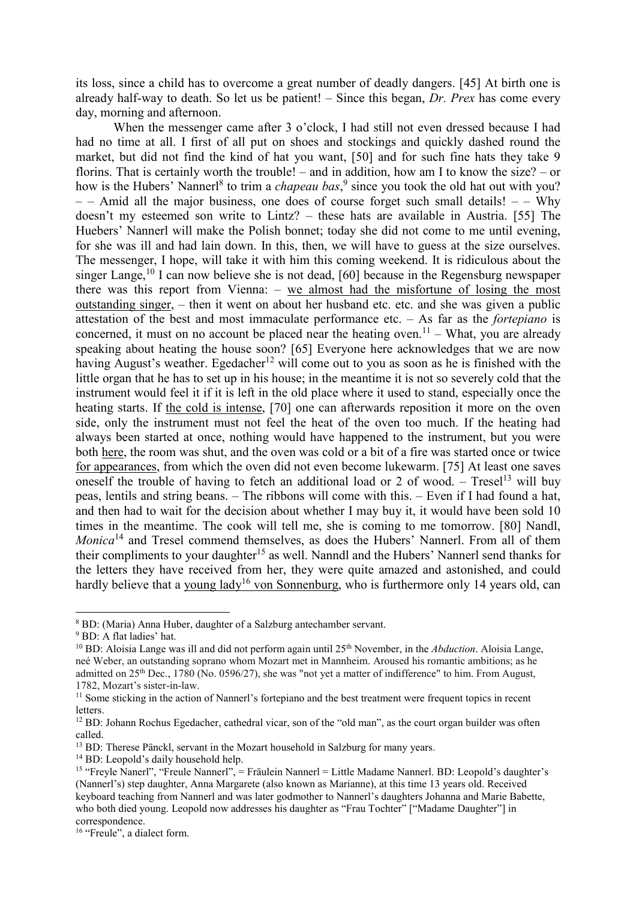its loss, since a child has to overcome a great number of deadly dangers. [45] At birth one is already half-way to death. So let us be patient! – Since this began, *Dr. Prex* has come every day, morning and afternoon.

When the messenger came after 3 o'clock, I had still not even dressed because I had had no time at all. I first of all put on shoes and stockings and quickly dashed round the market, but did not find the kind of hat you want, [50] and for such fine hats they take 9 florins. That is certainly worth the trouble! – and in addition, how am I to know the size? – or how is the Hubers' Nannerl<sup>8</sup> to trim a *chapeau bas*,<sup>9</sup> since you took the old hat out with you?  $-$  – Amid all the major business, one does of course forget such small details! – – Why doesn't my esteemed son write to Lintz? – these hats are available in Austria. [55] The Huebers' Nannerl will make the Polish bonnet; today she did not come to me until evening, for she was ill and had lain down. In this, then, we will have to guess at the size ourselves. The messenger, I hope, will take it with him this coming weekend. It is ridiculous about the singer Lange,<sup>10</sup> I can now believe she is not dead, [60] because in the Regensburg newspaper there was this report from Vienna: – we almost had the misfortune of losing the most outstanding singer, – then it went on about her husband etc. etc. and she was given a public attestation of the best and most immaculate performance etc. – As far as the *fortepiano* is concerned, it must on no account be placed near the heating oven.<sup>11</sup> – What, you are already speaking about heating the house soon? [65] Everyone here acknowledges that we are now having August's weather. Egedacher<sup>12</sup> will come out to you as soon as he is finished with the little organ that he has to set up in his house; in the meantime it is not so severely cold that the instrument would feel it if it is left in the old place where it used to stand, especially once the heating starts. If the cold is intense, [70] one can afterwards reposition it more on the oven side, only the instrument must not feel the heat of the oven too much. If the heating had always been started at once, nothing would have happened to the instrument, but you were both here, the room was shut, and the oven was cold or a bit of a fire was started once or twice for appearances, from which the oven did not even become lukewarm. [75] At least one saves oneself the trouble of having to fetch an additional load or 2 of wood. – Tresel<sup>13</sup> will buy peas, lentils and string beans. – The ribbons will come with this. – Even if I had found a hat, and then had to wait for the decision about whether I may buy it, it would have been sold 10 times in the meantime. The cook will tell me, she is coming to me tomorrow. [80] Nandl, *Monica*<sup>14</sup> and Tresel commend themselves, as does the Hubers' Nannerl. From all of them their compliments to your daughter<sup>15</sup> as well. Nanndl and the Hubers' Nannerl send thanks for the letters they have received from her, they were quite amazed and astonished, and could hardly believe that a young lady<sup>16</sup> von Sonnenburg, who is furthermore only 14 years old, can

l

<sup>8</sup> BD: (Maria) Anna Huber, daughter of a Salzburg antechamber servant.

<sup>9</sup> BD: A flat ladies' hat.

<sup>&</sup>lt;sup>10</sup> BD: Aloisia Lange was ill and did not perform again until 25<sup>th</sup> November, in the *Abduction*. Aloisia Lange, neé Weber, an outstanding soprano whom Mozart met in Mannheim. Aroused his romantic ambitions; as he admitted on 25th Dec., 1780 (No. 0596/27), she was "not yet a matter of indifference" to him. From August, 1782, Mozart's sister-in-law.

<sup>&</sup>lt;sup>11</sup> Some sticking in the action of Nannerl's fortepiano and the best treatment were frequent topics in recent letters.

<sup>&</sup>lt;sup>12</sup> BD: Johann Rochus Egedacher, cathedral vicar, son of the "old man", as the court organ builder was often called.

<sup>&</sup>lt;sup>13</sup> BD: Therese Pänckl, servant in the Mozart household in Salzburg for many years.

<sup>&</sup>lt;sup>14</sup> BD: Leopold's daily household help.

<sup>&</sup>lt;sup>15</sup> "Freyle Nanerl", "Freule Nannerl", = Fräulein Nannerl = Little Madame Nannerl. BD: Leopold's daughter's (Nannerl's) step daughter, Anna Margarete (also known as Marianne), at this time 13 years old. Received keyboard teaching from Nannerl and was later godmother to Nannerl's daughters Johanna and Marie Babette, who both died young. Leopold now addresses his daughter as "Frau Tochter" ["Madame Daughter"] in correspondence.

<sup>&</sup>lt;sup>16</sup> "Freule", a dialect form.